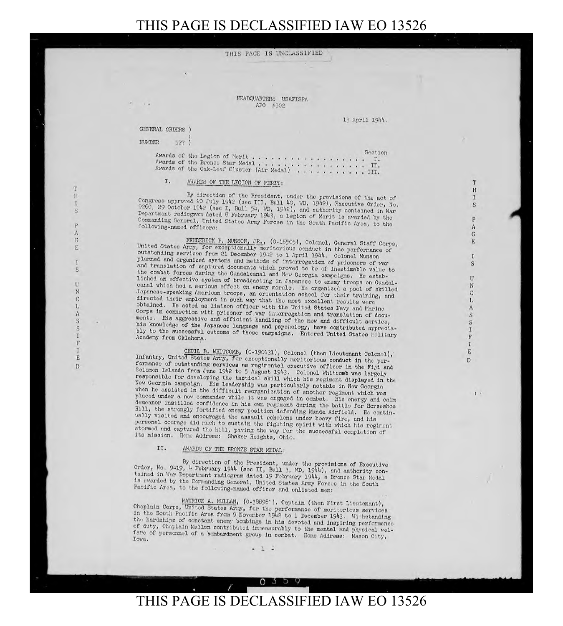FEADQUARTERS USAFISPA APO #502

GENERAL ORDERS )

**NUMBER** 527

> Awards of the Legion of Merit . . . . . . . . . . . . . . . . . Section J.  $\cdot$   $\cdot$

## I. AWARDS OF THE LEGION OF MERIT:

By direction of the President, under the provisions of the act of Congress approved 20 July 1942 (sec III, Bull 40, WD, 1942), Executive Order, No. Congress approved 20 July 1942 (see 11, built 2), and suthority contained in War<br>9260, 29 October 1942 (see I, Bull 54, WD, 1942), and suthority contained in War<br>Department radiogram dated 8 February 1943, a Legion of Mer Commanding General, United States Army Forces in the South Pacific Area, to the following-named officers:

FREDERICK P. MUNSON, JR., (0-16505), Colonel, General Staff Corps, United States Army, for exceptionally meritorious conduct in the performance of outstanding services from 21 December 1942 to 1 April 1944. Colonel Munson planned and organized systems and methods of interrogation of prisoners of war and translation of captured documents which proved to be of inestimable value to the combat forces during the Guadalcanal and New Georgia campaigns. He established an effective system of broadcasting in Japanese to enemy troops on Guadalcanal which had a serious effect on enemy morale. He organized a pool of skilled Japanese-speaking American troops, an orientation school for their training, and directed their employment in such way that the most excellent results were obtained. He acted as liaison officer with the United States Navy and Marine Corps in connection with prisoner of war interrogation and translation of documents. His aggressive and efficient handling of the new and difficult service, his knowledge of the Japanese language and psychology, have contributed appreciably to the successful outcome of those campaigns. Entered United States Hilitary Academy from Oklahoma.

CECIL B. WHITCOMB, (0-190131), Colonel (then Lieutenant Colonel), Infantry, United States Army, for exceptionally meritorious conduct in the performance of outstanding services as regimental executive officer in the Fiji and Solomon Islands from June 1942 to 5 August 1943. Colonel Whitcomb was largely responsible for developing the tactical skill which his regiment displayed in the New Georgia campaign. His leadership was particularly notable in New Georgia when he assisted in the difficult reorganization of another regiment which was placed under a now commander while it was engaged in combat. His energy and calm demeanor instilled confidence in his own regiment during the battle for Horseshoe Hill, the strongly fortified enemy position defending Munda Airfield. He continually visited and encouraged the assault echelons under heavy fire, and his personal courage did much to sustain the fighting spirit with which his regiment stormed and captured the hill, paving the way for the successful completion of its mission. Home Address: Shaker Heights, Ohio.

## II. AWARDS OF THE BRONZE STAR MEDAL:

By direction of the President, under the provisions of Executive Order, No. 9419, 4 February 1944 (sec II, Bull 3, WD, 1944), and authority contained in War Department radiogram dated 19 February 1944, a Bronze Star Medal is awarded by the Commanding General, United States Army Forces in the South Pacific Area, to the following-named officer and enlisted men:

MAURICE A. MULLAN, (0-38898"), Captain (then First Lieutenant), Chaplain Corps, United States Army, for the performance of meritorious services in the South Pacific Area from 9 November 1942 to 1 December 1943. Withstanding the hardships of constant enemy bombings in his devoted and inspiring performance of duty, Chaplain Mullen contributed immeasurably to the mental and physical welfare of personnel of a bombardment group in combat. Home Address: Mason City, Iowa.

13 April 1944.